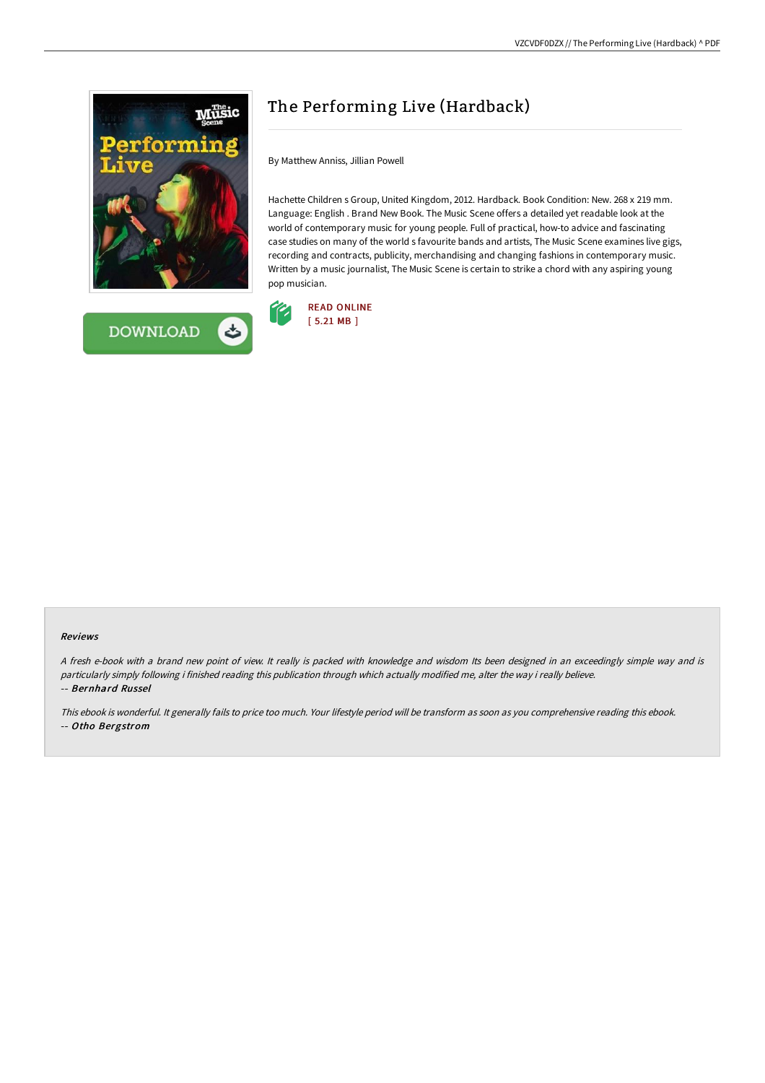



## The Performing Live (Hardback)

By Matthew Anniss, Jillian Powell

Hachette Children s Group, United Kingdom, 2012. Hardback. Book Condition: New. 268 x 219 mm. Language: English . Brand New Book. The Music Scene offers a detailed yet readable look at the world of contemporary music for young people. Full of practical, how-to advice and fascinating case studies on many of the world s favourite bands and artists, The Music Scene examines live gigs, recording and contracts, publicity, merchandising and changing fashions in contemporary music. Written by a music journalist, The Music Scene is certain to strike a chord with any aspiring young pop musician.



## Reviews

<sup>A</sup> fresh e-book with <sup>a</sup> brand new point of view. It really is packed with knowledge and wisdom Its been designed in an exceedingly simple way and is particularly simply following i finished reading this publication through which actually modified me, alter the way i really believe. -- Bernhard Russel

This ebook is wonderful. It generally fails to price too much. Your lifestyle period will be transform as soon as you comprehensive reading this ebook. -- Otho Bergstrom